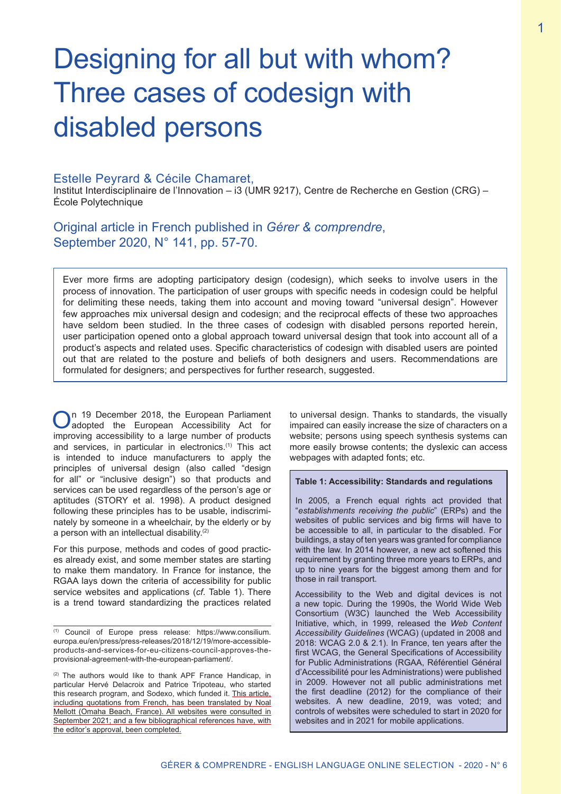# Designing for all but with whom? Three cases of codesign with disabled persons

#### Estelle Peyrard & Cécile Chamaret,

Institut Interdisciplinaire de l'Innovation – i3 (UMR 9217), Centre de Recherche en Gestion (CRG) – École Polytechnique

Original article in French published in *Gérer & comprendre*, September 2020, N° 141, pp. 57-70.

Ever more firms are adopting participatory design (codesign), which seeks to involve users in the process of innovation. The participation of user groups with specific needs in codesign could be helpful for delimiting these needs, taking them into account and moving toward "universal design". However few approaches mix universal design and codesign; and the reciprocal effects of these two approaches have seldom been studied. In the three cases of codesign with disabled persons reported herein, user participation opened onto a global approach toward universal design that took into account all of a product's aspects and related uses. Specific characteristics of codesign with disabled users are pointed out that are related to the posture and beliefs of both designers and users. Recommendations are formulated for designers; and perspectives for further research, suggested.

On 19 December 2018, the European Parliament<br>
adopted the European Accessibility Act for improving accessibility to a large number of products and services, in particular in electronics.(1) This act is intended to induce manufacturers to apply the principles of universal design (also called "design for all" or "inclusive design") so that products and services can be used regardless of the person's age or aptitudes (STORY et al. 1998). A product designed following these principles has to be usable, indiscriminately by someone in a wheelchair, by the elderly or by a person with an intellectual disability.<sup>(2)</sup>

For this purpose, methods and codes of good practices already exist, and some member states are starting to make them mandatory. In France for instance, the RGAA lays down the criteria of accessibility for public service websites and applications (*cf*. Table 1). There is a trend toward standardizing the practices related

to universal design. Thanks to standards, the visually impaired can easily increase the size of characters on a website; persons using speech synthesis systems can more easily browse contents; the dyslexic can access webpages with adapted fonts; etc.

#### **Table 1: Accessibility: Standards and regulations**

In 2005, a French equal rights act provided that "*establishments receiving the public*" (ERPs) and the websites of public services and big firms will have to be accessible to all, in particular to the disabled. For buildings, a stay of ten years was granted for compliance with the law. In 2014 however, a new act softened this requirement by granting three more years to ERPs, and up to nine years for the biggest among them and for those in rail transport.

Accessibility to the Web and digital devices is not a new topic. During the 1990s, the World Wide Web Consortium (W3C) launched the Web Accessibility Initiative, which, in 1999, released the *Web Content Accessibility Guidelines* (WCAG) (updated in 2008 and 2018: WCAG 2.0 & 2.1). In France, ten years after the first WCAG, the General Specifications of Accessibility for Public Administrations (RGAA, Référentiel Général d'Accessibilité pour les Administrations) were published in 2009. However not all public administrations met the first deadline (2012) for the compliance of their websites. A new deadline, 2019, was voted; and controls of websites were scheduled to start in 2020 for websites and in 2021 for mobile applications.

<sup>(1)</sup> Council of Europe press release: https://www.consilium. europa.eu/en/press/press-releases/2018/12/19/more-accessibleproducts-and-services-for-eu-citizens-council-approves-theprovisional-agreement-with-the-european-parliament/.

<sup>(2)</sup> The authors would like to thank APF France Handicap, in particular Hervé Delacroix and Patrice Tripoteau, who started this research program, and Sodexo, which funded it. This article, including quotations from French, has been translated by Noal Mellott (Omaha Beach, France). All websites were consulted in September 2021; and a few bibliographical references have, with the editor's approval, been completed.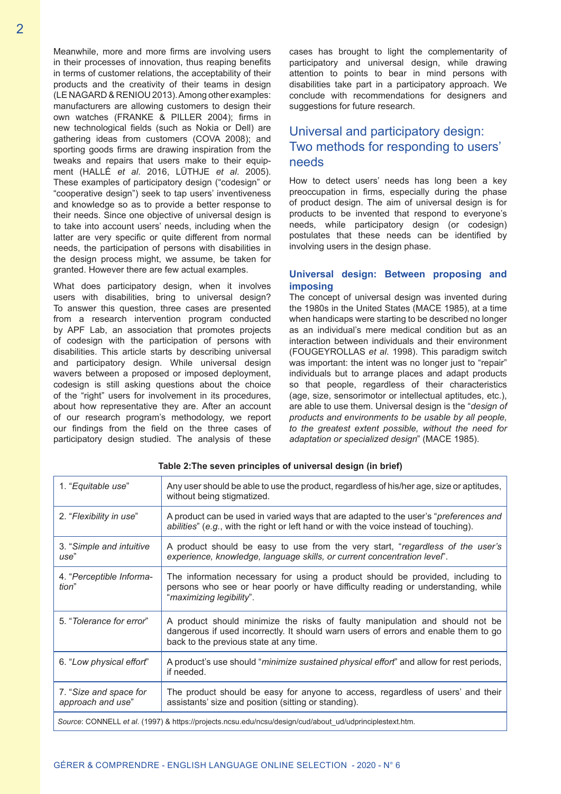Meanwhile, more and more firms are involving users in their processes of innovation, thus reaping benefits in terms of customer relations, the acceptability of their products and the creativity of their teams in design (LE NAGARD & RENIOU 2013). Among other examples: manufacturers are allowing customers to design their own watches (FRANKE & PILLER 2004); firms in new technological fields (such as Nokia or Dell) are gathering ideas from customers (COVA 2008); and sporting goods firms are drawing inspiration from the tweaks and repairs that users make to their equipment (HALLÉ *et al*. 2016, LÜTHJE *et al*. 2005). These examples of participatory design ("codesign" or "cooperative design") seek to tap users' inventiveness and knowledge so as to provide a better response to their needs. Since one objective of universal design is to take into account users' needs, including when the latter are very specific or quite different from normal needs, the participation of persons with disabilities in the design process might, we assume, be taken for granted. However there are few actual examples.

What does participatory design, when it involves users with disabilities, bring to universal design? To answer this question, three cases are presented from a research intervention program conducted by APF Lab, an association that promotes projects of codesign with the participation of persons with disabilities. This article starts by describing universal and participatory design. While universal design wavers between a proposed or imposed deployment, codesign is still asking questions about the choice of the "right" users for involvement in its procedures, about how representative they are. After an account of our research program's methodology, we report our findings from the field on the three cases of participatory design studied. The analysis of these

cases has brought to light the complementarity of participatory and universal design, while drawing attention to points to bear in mind persons with disabilities take part in a participatory approach. We conclude with recommendations for designers and suggestions for future research.

# Universal and participatory design: Two methods for responding to users' needs

How to detect users' needs has long been a key preoccupation in firms, especially during the phase of product design. The aim of universal design is for products to be invented that respond to everyone's needs, while participatory design (or codesign) postulates that these needs can be identified by involving users in the design phase.

#### **Universal design: Between proposing and imposing**

The concept of universal design was invented during the 1980s in the United States (MACE 1985), at a time when handicaps were starting to be described no longer as an individual's mere medical condition but as an interaction between individuals and their environment (FOUGEYROLLAS *et al*. 1998). This paradigm switch was important: the intent was no longer just to "repair" individuals but to arrange places and adapt products so that people, regardless of their characteristics (age, size, sensorimotor or intellectual aptitudes, etc.), are able to use them. Universal design is the "*design of products and environments to be usable by all people, to the greatest extent possible, without the need for adaptation or specialized design*" (MACE 1985).

| 1. "Equitable use"                                                                                       | Any user should be able to use the product, regardless of his/her age, size or aptitudes,<br>without being stigmatized.                                                                                        |  |  |
|----------------------------------------------------------------------------------------------------------|----------------------------------------------------------------------------------------------------------------------------------------------------------------------------------------------------------------|--|--|
| 2. "Flexibility in use"                                                                                  | A product can be used in varied ways that are adapted to the user's "preferences and<br>abilities" (e.g., with the right or left hand or with the voice instead of touching).                                  |  |  |
| 3. "Simple and intuitive<br>use"                                                                         | A product should be easy to use from the very start, "regardless of the user's<br>experience, knowledge, language skills, or current concentration level".                                                     |  |  |
| 4. "Perceptible Informa-<br>tion"                                                                        | The information necessary for using a product should be provided, including to<br>persons who see or hear poorly or have difficulty reading or understanding, while<br>"maximizing legibility".                |  |  |
| 5. "Tolerance for error"                                                                                 | A product should minimize the risks of faulty manipulation and should not be<br>dangerous if used incorrectly. It should warn users of errors and enable them to go<br>back to the previous state at any time. |  |  |
| 6. "Low physical effort"                                                                                 | A product's use should " <i>minimize sustained physical effort</i> " and allow for rest periods,<br>if needed.                                                                                                 |  |  |
| 7. "Size and space for<br>approach and use"                                                              | The product should be easy for anyone to access, regardless of users' and their<br>assistants' size and position (sitting or standing).                                                                        |  |  |
| Source: CONNELL et al. (1997) & https://projects.ncsu.edu/ncsu/design/cud/about_ud/udprinciplestext.htm. |                                                                                                                                                                                                                |  |  |

**Table 2:The seven principles of universal design (in brief)**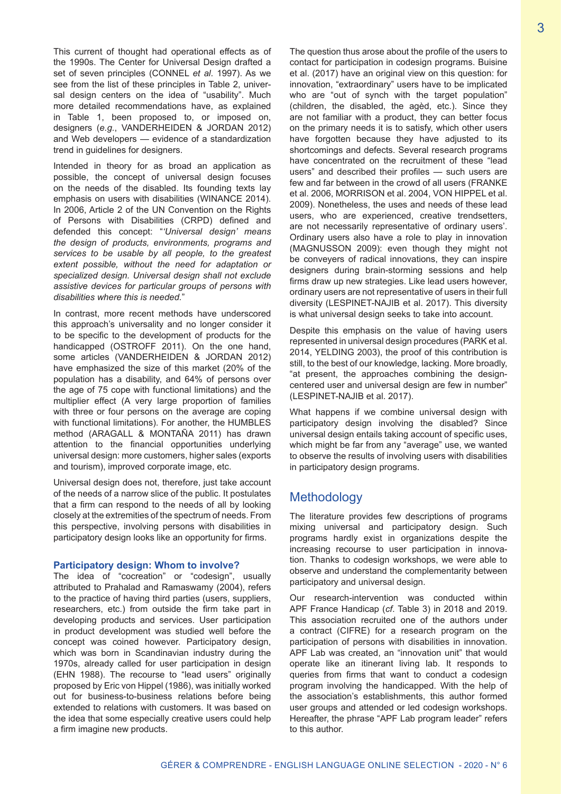This current of thought had operational effects as of the 1990s. The Center for Universal Design drafted a set of seven principles (CONNEL *et al*. 1997). As we see from the list of these principles in Table 2, universal design centers on the idea of "usability". Much more detailed recommendations have, as explained in Table 1, been proposed to, or imposed on, designers (*e.g.*, VANDERHEIDEN & JORDAN 2012) and Web developers — evidence of a standardization trend in guidelines for designers.

Intended in theory for as broad an application as possible, the concept of universal design focuses on the needs of the disabled. Its founding texts lay emphasis on users with disabilities (WINANCE 2014). In 2006, Article 2 of the UN Convention on the Rights of Persons with Disabilities (CRPD) defined and defended this concept: "*'Universal design' means the design of products, environments, programs and services to be usable by all people, to the greatest extent possible, without the need for adaptation or specialized design. Universal design shall not exclude assistive devices for particular groups of persons with disabilities where this is needed.*"

In contrast, more recent methods have underscored this approach's universality and no longer consider it to be specific to the development of products for the handicapped (OSTROFF 2011). On the one hand, some articles (VANDERHEIDEN & JORDAN 2012) have emphasized the size of this market (20% of the population has a disability, and 64% of persons over the age of 75 cope with functional limitations) and the multiplier effect (A very large proportion of families with three or four persons on the average are coping with functional limitations). For another, the HUMBLES method (ARAGALL & MONTAÑA 2011) has drawn attention to the financial opportunities underlying universal design: more customers, higher sales (exports and tourism), improved corporate image, etc.

Universal design does not, therefore, just take account of the needs of a narrow slice of the public. It postulates that a firm can respond to the needs of all by looking closely at the extremities of the spectrum of needs. From this perspective, involving persons with disabilities in participatory design looks like an opportunity for firms.

#### **Participatory design: Whom to involve?**

The idea of "cocreation" or "codesign", usually attributed to Prahalad and Ramaswamy (2004), refers to the practice of having third parties (users, suppliers, researchers, etc.) from outside the firm take part in developing products and services. User participation in product development was studied well before the concept was coined however. Participatory design, which was born in Scandinavian industry during the 1970s, already called for user participation in design (EHN 1988). The recourse to "lead users" originally proposed by Eric von Hippel (1986), was initially worked out for business-to-business relations before being extended to relations with customers. It was based on the idea that some especially creative users could help a firm imagine new products.

The question thus arose about the profile of the users to contact for participation in codesign programs. Buisine et al. (2017) have an original view on this question: for innovation, "extraordinary" users have to be implicated who are "out of synch with the target population" (children, the disabled, the agèd, etc.). Since they are not familiar with a product, they can better focus on the primary needs it is to satisfy, which other users have forgotten because they have adjusted to its shortcomings and defects. Several research programs have concentrated on the recruitment of these "lead users" and described their profiles — such users are few and far between in the crowd of all users (FRANKE et al. 2006, MORRISON et al. 2004, VON HIPPEL et al. 2009). Nonetheless, the uses and needs of these lead users, who are experienced, creative trendsetters, are not necessarily representative of ordinary users'. Ordinary users also have a role to play in innovation (MAGNUSSON 2009): even though they might not be conveyers of radical innovations, they can inspire designers during brain-storming sessions and help firms draw up new strategies. Like lead users however, ordinary users are not representative of users in their full diversity (LESPINET-NAJIB et al. 2017). This diversity is what universal design seeks to take into account.

Despite this emphasis on the value of having users represented in universal design procedures (PARK et al. 2014, YELDING 2003), the proof of this contribution is still, to the best of our knowledge, lacking. More broadly, "at present, the approaches combining the designcentered user and universal design are few in number" (LESPINET-NAJIB et al. 2017).

What happens if we combine universal design with participatory design involving the disabled? Since universal design entails taking account of specific uses, which might be far from any "average" use, we wanted to observe the results of involving users with disabilities in participatory design programs.

## Methodology

The literature provides few descriptions of programs mixing universal and participatory design. Such programs hardly exist in organizations despite the increasing recourse to user participation in innovation. Thanks to codesign workshops, we were able to observe and understand the complementarity between participatory and universal design.

Our research-intervention was conducted within APF France Handicap (*cf*. Table 3) in 2018 and 2019. This association recruited one of the authors under a contract (CIFRE) for a research program on the participation of persons with disabilities in innovation. APF Lab was created, an "innovation unit" that would operate like an itinerant living lab. It responds to queries from firms that want to conduct a codesign program involving the handicapped. With the help of the association's establishments, this author formed user groups and attended or led codesign workshops. Hereafter, the phrase "APF Lab program leader" refers to this author.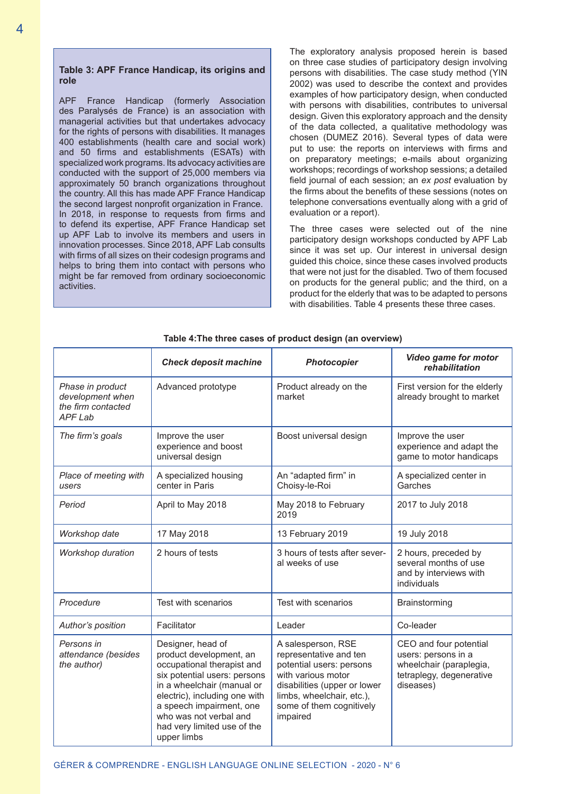#### **Table 3: APF France Handicap, its origins and role**

APF France Handicap (formerly Association des Paralysés de France) is an association with managerial activities but that undertakes advocacy for the rights of persons with disabilities. It manages 400 establishments (health care and social work) and 50 firms and establishments (ESATs) with specialized work programs. Its advocacy activities are conducted with the support of 25,000 members via approximately 50 branch organizations throughout the country. All this has made APF France Handicap the second largest nonprofit organization in France. In 2018, in response to requests from firms and to defend its expertise, APF France Handicap set up APF Lab to involve its members and users in innovation processes. Since 2018, APF Lab consults with firms of all sizes on their codesign programs and helps to bring them into contact with persons who might be far removed from ordinary socioeconomic activities.

The exploratory analysis proposed herein is based on three case studies of participatory design involving persons with disabilities. The case study method (YIN 2002) was used to describe the context and provides examples of how participatory design, when conducted with persons with disabilities, contributes to universal design. Given this exploratory approach and the density of the data collected, a qualitative methodology was chosen (DUMEZ 2016). Several types of data were put to use: the reports on interviews with firms and on preparatory meetings; e-mails about organizing workshops; recordings of workshop sessions; a detailed field journal of each session; an *ex post* evaluation by the firms about the benefits of these sessions (notes on telephone conversations eventually along with a grid of evaluation or a report).

The three cases were selected out of the nine participatory design workshops conducted by APF Lab since it was set up. Our interest in universal design guided this choice, since these cases involved products that were not just for the disabled. Two of them focused on products for the general public; and the third, on a product for the elderly that was to be adapted to persons with disabilities. Table 4 presents these three cases.

|                                                                              | <b>Check deposit machine</b>                                                                                                                                                                                                                                                  | <b>Photocopier</b>                                                                                                                                                                                  | Video game for motor<br>rehabilitation                                                                            |
|------------------------------------------------------------------------------|-------------------------------------------------------------------------------------------------------------------------------------------------------------------------------------------------------------------------------------------------------------------------------|-----------------------------------------------------------------------------------------------------------------------------------------------------------------------------------------------------|-------------------------------------------------------------------------------------------------------------------|
| Phase in product<br>development when<br>the firm contacted<br><b>APF Lab</b> | Advanced prototype                                                                                                                                                                                                                                                            | Product already on the<br>market                                                                                                                                                                    | First version for the elderly<br>already brought to market                                                        |
| The firm's goals                                                             | Improve the user<br>experience and boost<br>universal design                                                                                                                                                                                                                  | Boost universal design                                                                                                                                                                              | Improve the user<br>experience and adapt the<br>game to motor handicaps                                           |
| Place of meeting with<br>users                                               | A specialized housing<br>center in Paris                                                                                                                                                                                                                                      | An "adapted firm" in<br>Choisy-le-Roi                                                                                                                                                               | A specialized center in<br>Garches                                                                                |
| Period                                                                       | April to May 2018                                                                                                                                                                                                                                                             | May 2018 to February<br>2019                                                                                                                                                                        | 2017 to July 2018                                                                                                 |
| Workshop date                                                                | 17 May 2018                                                                                                                                                                                                                                                                   | 13 February 2019                                                                                                                                                                                    | 19 July 2018                                                                                                      |
| Workshop duration                                                            | 2 hours of tests                                                                                                                                                                                                                                                              | 3 hours of tests after sever-<br>al weeks of use                                                                                                                                                    | 2 hours, preceded by<br>several months of use<br>and by interviews with<br>individuals                            |
| Procedure                                                                    | Test with scenarios                                                                                                                                                                                                                                                           | Test with scenarios                                                                                                                                                                                 | Brainstorming                                                                                                     |
| Author's position                                                            | Facilitator                                                                                                                                                                                                                                                                   | Leader                                                                                                                                                                                              | Co-leader                                                                                                         |
| Persons in<br>attendance (besides<br>the author)                             | Designer, head of<br>product development, an<br>occupational therapist and<br>six potential users: persons<br>in a wheelchair (manual or<br>electric), including one with<br>a speech impairment, one<br>who was not verbal and<br>had very limited use of the<br>upper limbs | A salesperson, RSE<br>representative and ten<br>potential users: persons<br>with various motor<br>disabilities (upper or lower<br>limbs, wheelchair, etc.),<br>some of them cognitively<br>impaired | CEO and four potential<br>users: persons in a<br>wheelchair (paraplegia,<br>tetraplegy, degenerative<br>diseases) |

#### **Table 4:The three cases of product design (an overview)**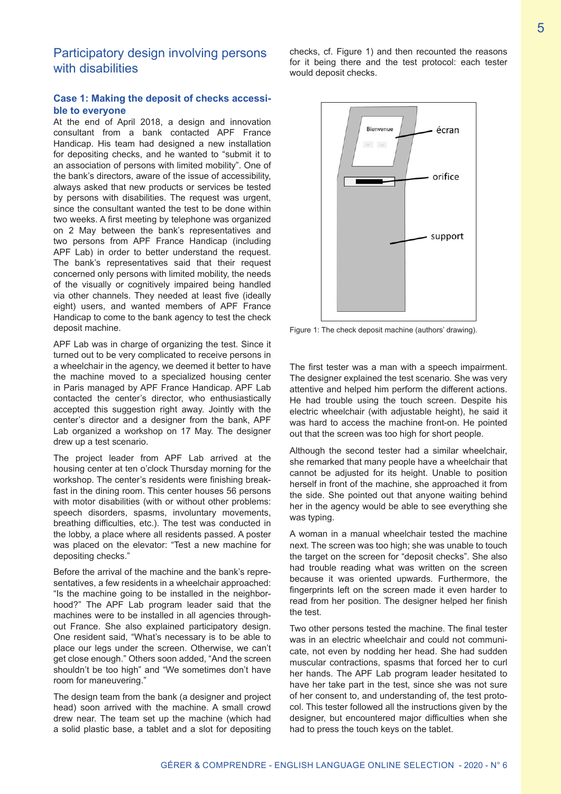## Participatory design involving persons with disabilities

#### **Case 1: Making the deposit of checks accessible to everyone**

At the end of April 2018, a design and innovation consultant from a bank contacted APF France Handicap. His team had designed a new installation for depositing checks, and he wanted to "submit it to an association of persons with limited mobility". One of the bank's directors, aware of the issue of accessibility, always asked that new products or services be tested by persons with disabilities. The request was urgent, since the consultant wanted the test to be done within two weeks. A first meeting by telephone was organized on 2 May between the bank's representatives and two persons from APF France Handicap (including APF Lab) in order to better understand the request. The bank's representatives said that their request concerned only persons with limited mobility, the needs of the visually or cognitively impaired being handled via other channels. They needed at least five (ideally eight) users, and wanted members of APF France Handicap to come to the bank agency to test the check deposit machine.

APF Lab was in charge of organizing the test. Since it turned out to be very complicated to receive persons in a wheelchair in the agency, we deemed it better to have the machine moved to a specialized housing center in Paris managed by APF France Handicap. APF Lab contacted the center's director, who enthusiastically accepted this suggestion right away. Jointly with the center's director and a designer from the bank, APF Lab organized a workshop on 17 May. The designer drew up a test scenario.

The project leader from APF Lab arrived at the housing center at ten o'clock Thursday morning for the workshop. The center's residents were finishing breakfast in the dining room. This center houses 56 persons with motor disabilities (with or without other problems: speech disorders, spasms, involuntary movements, breathing difficulties, etc.). The test was conducted in the lobby, a place where all residents passed. A poster was placed on the elevator: "Test a new machine for depositing checks."

Before the arrival of the machine and the bank's representatives, a few residents in a wheelchair approached: "Is the machine going to be installed in the neighborhood?" The APF Lab program leader said that the machines were to be installed in all agencies throughout France. She also explained participatory design. One resident said, "What's necessary is to be able to place our legs under the screen. Otherwise, we can't get close enough." Others soon added, "And the screen shouldn't be too high" and "We sometimes don't have room for maneuvering."

The design team from the bank (a designer and project head) soon arrived with the machine. A small crowd drew near. The team set up the machine (which had a solid plastic base, a tablet and a slot for depositing

checks, cf. Figure 1) and then recounted the reasons for it being there and the test protocol: each tester would deposit checks.



Figure 1: The check deposit machine (authors' drawing).

The first tester was a man with a speech impairment. The designer explained the test scenario. She was very attentive and helped him perform the different actions. He had trouble using the touch screen. Despite his electric wheelchair (with adjustable height), he said it was hard to access the machine front-on. He pointed out that the screen was too high for short people.

Although the second tester had a similar wheelchair, she remarked that many people have a wheelchair that cannot be adjusted for its height. Unable to position herself in front of the machine, she approached it from the side. She pointed out that anyone waiting behind her in the agency would be able to see everything she was typing.

A woman in a manual wheelchair tested the machine next. The screen was too high; she was unable to touch the target on the screen for "deposit checks". She also had trouble reading what was written on the screen because it was oriented upwards. Furthermore, the fingerprints left on the screen made it even harder to read from her position. The designer helped her finish the test.

Two other persons tested the machine. The final tester was in an electric wheelchair and could not communicate, not even by nodding her head. She had sudden muscular contractions, spasms that forced her to curl her hands. The APF Lab program leader hesitated to have her take part in the test, since she was not sure of her consent to, and understanding of, the test protocol. This tester followed all the instructions given by the designer, but encountered major difficulties when she had to press the touch keys on the tablet.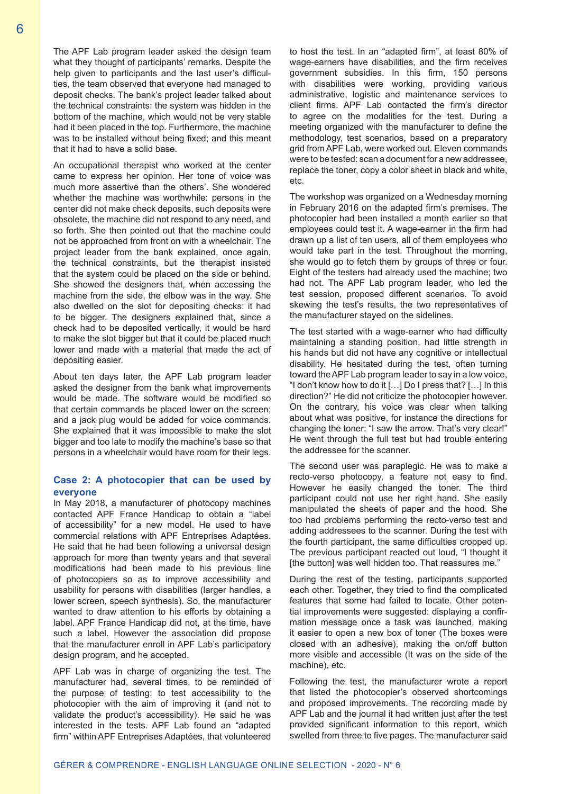The APF Lab program leader asked the design team what they thought of participants' remarks. Despite the help given to participants and the last user's difficulties, the team observed that everyone had managed to deposit checks. The bank's project leader talked about the technical constraints: the system was hidden in the bottom of the machine, which would not be very stable had it been placed in the top. Furthermore, the machine was to be installed without being fixed; and this meant that it had to have a solid base.

An occupational therapist who worked at the center came to express her opinion. Her tone of voice was much more assertive than the others'. She wondered whether the machine was worthwhile: persons in the center did not make check deposits, such deposits were obsolete, the machine did not respond to any need, and so forth. She then pointed out that the machine could not be approached from front on with a wheelchair. The project leader from the bank explained, once again, the technical constraints, but the therapist insisted that the system could be placed on the side or behind. She showed the designers that, when accessing the machine from the side, the elbow was in the way. She also dwelled on the slot for depositing checks: it had to be bigger. The designers explained that, since a check had to be deposited vertically, it would be hard to make the slot bigger but that it could be placed much lower and made with a material that made the act of depositing easier.

About ten days later, the APF Lab program leader asked the designer from the bank what improvements would be made. The software would be modified so that certain commands be placed lower on the screen; and a jack plug would be added for voice commands. She explained that it was impossible to make the slot bigger and too late to modify the machine's base so that persons in a wheelchair would have room for their legs.

#### **Case 2: A photocopier that can be used by everyone**

In May 2018, a manufacturer of photocopy machines contacted APF France Handicap to obtain a "label of accessibility" for a new model. He used to have commercial relations with APF Entreprises Adaptées. He said that he had been following a universal design approach for more than twenty years and that several modifications had been made to his previous line of photocopiers so as to improve accessibility and usability for persons with disabilities (larger handles, a lower screen, speech synthesis). So, the manufacturer wanted to draw attention to his efforts by obtaining a label. APF France Handicap did not, at the time, have such a label. However the association did propose that the manufacturer enroll in APF Lab's participatory design program, and he accepted.

APF Lab was in charge of organizing the test. The manufacturer had, several times, to be reminded of the purpose of testing: to test accessibility to the photocopier with the aim of improving it (and not to validate the product's accessibility). He said he was interested in the tests. APF Lab found an "adapted firm" within APF Entreprises Adaptées, that volunteered

to host the test. In an "adapted firm", at least 80% of wage-earners have disabilities, and the firm receives government subsidies. In this firm, 150 persons with disabilities were working, providing various administrative, logistic and maintenance services to client firms. APF Lab contacted the firm's director to agree on the modalities for the test. During a meeting organized with the manufacturer to define the methodology, test scenarios, based on a preparatory grid from APF Lab, were worked out. Eleven commands were to be tested: scan a document for a new addressee, replace the toner, copy a color sheet in black and white, etc.

The workshop was organized on a Wednesday morning in February 2016 on the adapted firm's premises. The photocopier had been installed a month earlier so that employees could test it. A wage-earner in the firm had drawn up a list of ten users, all of them employees who would take part in the test. Throughout the morning, she would go to fetch them by groups of three or four. Eight of the testers had already used the machine; two had not. The APF Lab program leader, who led the test session, proposed different scenarios. To avoid skewing the test's results, the two representatives of the manufacturer stayed on the sidelines.

The test started with a wage-earner who had difficulty maintaining a standing position, had little strength in his hands but did not have any cognitive or intellectual disability. He hesitated during the test, often turning toward the APF Lab program leader to say in a low voice, "I don't know how to do it […] Do I press that? […] In this direction?" He did not criticize the photocopier however. On the contrary, his voice was clear when talking about what was positive, for instance the directions for changing the toner: "I saw the arrow. That's very clear!" He went through the full test but had trouble entering the addressee for the scanner.

The second user was paraplegic. He was to make a recto-verso photocopy, a feature not easy to find. However he easily changed the toner. The third participant could not use her right hand. She easily manipulated the sheets of paper and the hood. She too had problems performing the recto-verso test and adding addressees to the scanner. During the test with the fourth participant, the same difficulties cropped up. The previous participant reacted out loud, "I thought it [the button] was well hidden too. That reassures me."

During the rest of the testing, participants supported each other. Together, they tried to find the complicated features that some had failed to locate. Other potential improvements were suggested: displaying a confirmation message once a task was launched, making it easier to open a new box of toner (The boxes were closed with an adhesive), making the on/off button more visible and accessible (It was on the side of the machine), etc.

Following the test, the manufacturer wrote a report that listed the photocopier's observed shortcomings and proposed improvements. The recording made by APF Lab and the journal it had written just after the test provided significant information to this report, which swelled from three to five pages. The manufacturer said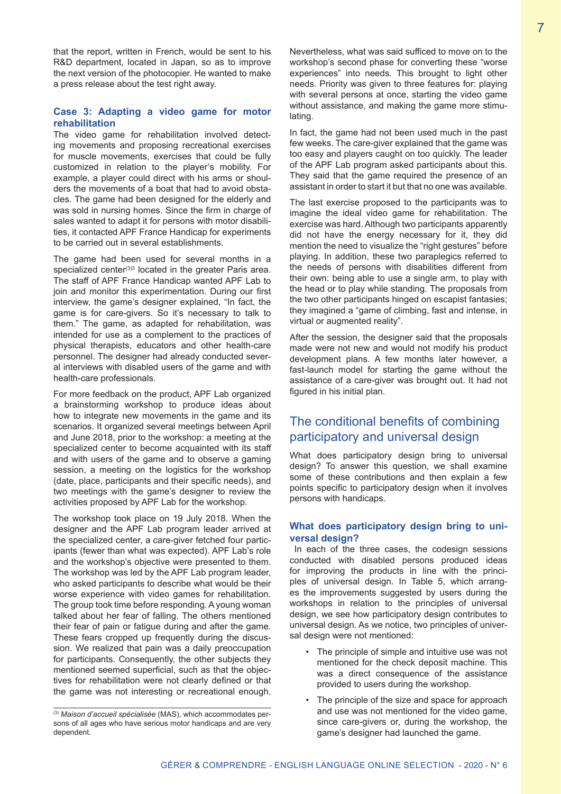that the report, written in French, would be sent to his R&D department, located in Japan, so as to improve the next version of the photocopier. He wanted to make a press release about the test right away.

#### **Case 3: Adapting a video game for motor rehabilitation**

The video game for rehabilitation involved detecting movements and proposing recreational exercises for muscle movements, exercises that could be fully customized in relation to the player's mobility. For example, a player could direct with his arms or shoulders the movements of a boat that had to avoid obstacles. The game had been designed for the elderly and was sold in nursing homes. Since the firm in charge of sales wanted to adapt it for persons with motor disabilities, it contacted APF France Handicap for experiments to be carried out in several establishments.

The game had been used for several months in a specialized center<sup>(3)3</sup> located in the greater Paris area. The staff of APF France Handicap wanted APF Lab to join and monitor this experimentation. During our first interview, the game's designer explained, "In fact, the game is for care-givers. So it's necessary to talk to them." The game, as adapted for rehabilitation, was intended for use as a complement to the practices of physical therapists, educators and other health-care personnel. The designer had already conducted several interviews with disabled users of the game and with health-care professionals.

For more feedback on the product, APF Lab organized a brainstorming workshop to produce ideas about how to integrate new movements in the game and its scenarios. It organized several meetings between April and June 2018, prior to the workshop: a meeting at the specialized center to become acquainted with its staff and with users of the game and to observe a gaming session, a meeting on the logistics for the workshop (date, place, participants and their specific needs), and two meetings with the game's designer to review the activities proposed by APF Lab for the workshop.

The workshop took place on 19 July 2018. When the designer and the APF Lab program leader arrived at the specialized center, a care-giver fetched four participants (fewer than what was expected). APF Lab's role and the workshop's objective were presented to them. The workshop was led by the APF Lab program leader, who asked participants to describe what would be their worse experience with video games for rehabilitation. The group took time before responding. A young woman talked about her fear of falling. The others mentioned their fear of pain or fatigue during and after the game. These fears cropped up frequently during the discussion. We realized that pain was a daily preoccupation for participants. Consequently, the other subjects they mentioned seemed superficial, such as that the objectives for rehabilitation were not clearly defined or that the game was not interesting or recreational enough.

Nevertheless, what was said sufficed to move on to the workshop's second phase for converting these "worse experiences" into needs. This brought to light other needs. Priority was given to three features for: playing with several persons at once, starting the video game without assistance, and making the game more stimulating.

In fact, the game had not been used much in the past few weeks. The care-giver explained that the game was too easy and players caught on too quickly. The leader of the APF Lab program asked participants about this. They said that the game required the presence of an assistant in order to start it but that no one was available.

The last exercise proposed to the participants was to imagine the ideal video game for rehabilitation. The exercise was hard. Although two participants apparently did not have the energy necessary for it, they did mention the need to visualize the "right gestures" before playing. In addition, these two paraplegics referred to the needs of persons with disabilities different from their own: being able to use a single arm, to play with the head or to play while standing. The proposals from the two other participants hinged on escapist fantasies; they imagined a "game of climbing, fast and intense, in virtual or augmented reality".

After the session, the designer said that the proposals made were not new and would not modify his product development plans. A few months later however, a fast-launch model for starting the game without the assistance of a care-giver was brought out. It had not figured in his initial plan.

# The conditional benefits of combining participatory and universal design

What does participatory design bring to universal design? To answer this question, we shall examine some of these contributions and then explain a few points specific to participatory design when it involves persons with handicaps.

#### **What does participatory design bring to universal design?**

 In each of the three cases, the codesign sessions conducted with disabled persons produced ideas for improving the products in line with the principles of universal design. In Table 5, which arranges the improvements suggested by users during the workshops in relation to the principles of universal design, we see how participatory design contributes to universal design. As we notice, two principles of universal design were not mentioned:

- The principle of simple and intuitive use was not mentioned for the check deposit machine. This was a direct consequence of the assistance provided to users during the workshop.
- The principle of the size and space for approach and use was not mentioned for the video game, since care-givers or, during the workshop, the game's designer had launched the game.

<sup>(3)</sup> *Maison d'accueil spécialisée* (MAS), which accommodates persons of all ages who have serious motor handicaps and are very dependent.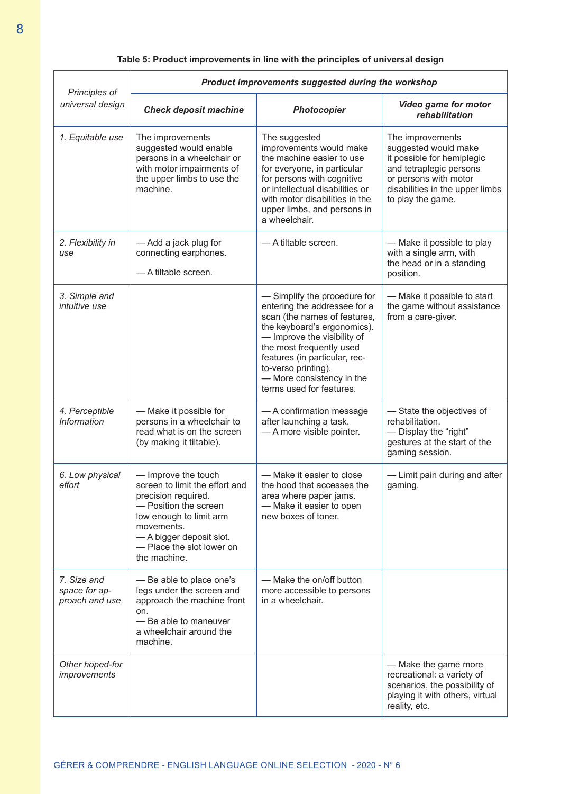### **Table 5: Product improvements in line with the principles of universal design**

| Principles of<br>universal design              | Product improvements suggested during the workshop                                                                                                                                                                      |                                                                                                                                                                                                                                                                                                         |                                                                                                                                                                                    |  |
|------------------------------------------------|-------------------------------------------------------------------------------------------------------------------------------------------------------------------------------------------------------------------------|---------------------------------------------------------------------------------------------------------------------------------------------------------------------------------------------------------------------------------------------------------------------------------------------------------|------------------------------------------------------------------------------------------------------------------------------------------------------------------------------------|--|
|                                                | <b>Check deposit machine</b>                                                                                                                                                                                            | Photocopier                                                                                                                                                                                                                                                                                             | <b>Video game for motor</b><br>rehabilitation                                                                                                                                      |  |
| 1. Equitable use                               | The improvements<br>suggested would enable<br>persons in a wheelchair or<br>with motor impairments of<br>the upper limbs to use the<br>machine.                                                                         | The suggested<br>improvements would make<br>the machine easier to use<br>for everyone, in particular<br>for persons with cognitive<br>or intellectual disabilities or<br>with motor disabilities in the<br>upper limbs, and persons in<br>a wheelchair.                                                 | The improvements<br>suggested would make<br>it possible for hemiplegic<br>and tetraplegic persons<br>or persons with motor<br>disabilities in the upper limbs<br>to play the game. |  |
| 2. Flexibility in<br>use                       | - Add a jack plug for<br>connecting earphones.<br>- A tiltable screen.                                                                                                                                                  | - A tiltable screen.                                                                                                                                                                                                                                                                                    | - Make it possible to play<br>with a single arm, with<br>the head or in a standing<br>position.                                                                                    |  |
| 3. Simple and<br><i>intuitive use</i>          |                                                                                                                                                                                                                         | - Simplify the procedure for<br>entering the addressee for a<br>scan (the names of features,<br>the keyboard's ergonomics).<br>- Improve the visibility of<br>the most frequently used<br>features (in particular, rec-<br>to-verso printing).<br>- More consistency in the<br>terms used for features. | - Make it possible to start<br>the game without assistance<br>from a care-giver.                                                                                                   |  |
| 4. Perceptible<br><b>Information</b>           | - Make it possible for<br>persons in a wheelchair to<br>read what is on the screen<br>(by making it tiltable).                                                                                                          | - A confirmation message<br>after launching a task.<br>- A more visible pointer.                                                                                                                                                                                                                        | -State the objectives of<br>rehabilitation.<br>- Display the "right"<br>gestures at the start of the<br>gaming session.                                                            |  |
| 6. Low physical<br>effort                      | - Improve the touch<br>screen to limit the effort and<br>precision required.<br>- Position the screen<br>low enough to limit arm<br>movements.<br>- A bigger deposit slot.<br>- Place the slot lower on<br>the machine. | - Make it easier to close<br>the hood that accesses the<br>area where paper jams.<br>- Make it easier to open<br>new boxes of toner.                                                                                                                                                                    | - Limit pain during and after<br>gaming.                                                                                                                                           |  |
| 7. Size and<br>space for ap-<br>proach and use | - Be able to place one's<br>legs under the screen and<br>approach the machine front<br>on.<br>- Be able to maneuver<br>a wheelchair around the<br>machine.                                                              | — Make the on/off button<br>more accessible to persons<br>in a wheelchair.                                                                                                                                                                                                                              |                                                                                                                                                                                    |  |
| Other hoped-for<br>improvements                |                                                                                                                                                                                                                         |                                                                                                                                                                                                                                                                                                         | - Make the game more<br>recreational: a variety of<br>scenarios, the possibility of<br>playing it with others, virtual<br>reality, etc.                                            |  |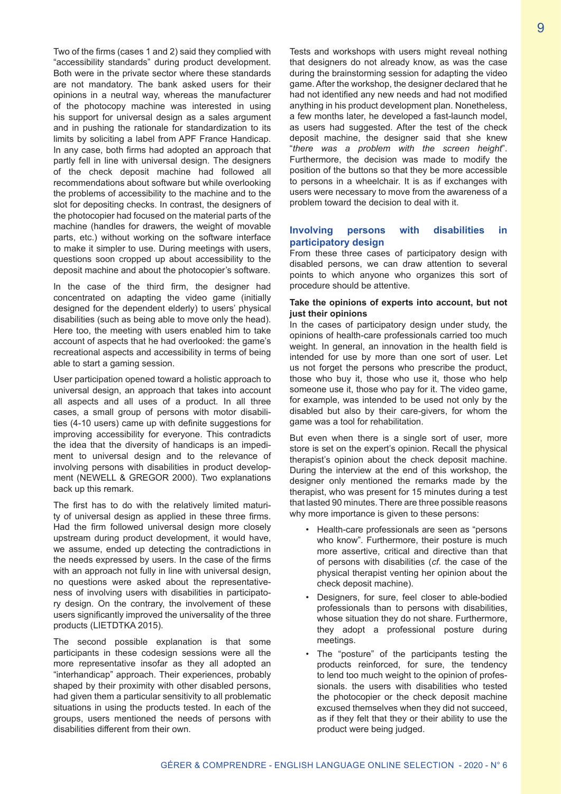Two of the firms (cases 1 and 2) said they complied with "accessibility standards" during product development. Both were in the private sector where these standards are not mandatory. The bank asked users for their opinions in a neutral way, whereas the manufacturer of the photocopy machine was interested in using his support for universal design as a sales argument and in pushing the rationale for standardization to its limits by soliciting a label from APF France Handicap. In any case, both firms had adopted an approach that partly fell in line with universal design. The designers of the check deposit machine had followed all recommendations about software but while overlooking the problems of accessibility to the machine and to the slot for depositing checks. In contrast, the designers of the photocopier had focused on the material parts of the machine (handles for drawers, the weight of movable parts, etc.) without working on the software interface to make it simpler to use. During meetings with users, questions soon cropped up about accessibility to the deposit machine and about the photocopier's software.

In the case of the third firm, the designer had concentrated on adapting the video game (initially designed for the dependent elderly) to users' physical disabilities (such as being able to move only the head). Here too, the meeting with users enabled him to take account of aspects that he had overlooked: the game's recreational aspects and accessibility in terms of being able to start a gaming session.

User participation opened toward a holistic approach to universal design, an approach that takes into account all aspects and all uses of a product. In all three cases, a small group of persons with motor disabilities (4-10 users) came up with definite suggestions for improving accessibility for everyone. This contradicts the idea that the diversity of handicaps is an impediment to universal design and to the relevance of involving persons with disabilities in product development (NEWELL & GREGOR 2000). Two explanations back up this remark.

The first has to do with the relatively limited maturity of universal design as applied in these three firms. Had the firm followed universal design more closely upstream during product development, it would have, we assume, ended up detecting the contradictions in the needs expressed by users. In the case of the firms with an approach not fully in line with universal design, no questions were asked about the representativeness of involving users with disabilities in participatory design. On the contrary, the involvement of these users significantly improved the universality of the three products (LIETDTKA 2015).

The second possible explanation is that some participants in these codesign sessions were all the more representative insofar as they all adopted an "interhandicap" approach. Their experiences, probably shaped by their proximity with other disabled persons, had given them a particular sensitivity to all problematic situations in using the products tested. In each of the groups, users mentioned the needs of persons with disabilities different from their own.

Tests and workshops with users might reveal nothing that designers do not already know, as was the case during the brainstorming session for adapting the video game. After the workshop, the designer declared that he had not identified any new needs and had not modified anything in his product development plan. Nonetheless, a few months later, he developed a fast-launch model, as users had suggested. After the test of the check deposit machine, the designer said that she knew "*there was a problem with the screen height*". Furthermore, the decision was made to modify the position of the buttons so that they be more accessible to persons in a wheelchair. It is as if exchanges with users were necessary to move from the awareness of a problem toward the decision to deal with it.

#### **Involving persons with disabilities in participatory design**

From these three cases of participatory design with disabled persons, we can draw attention to several points to which anyone who organizes this sort of procedure should be attentive.

#### **Take the opinions of experts into account, but not just their opinions**

In the cases of participatory design under study, the opinions of health-care professionals carried too much weight. In general, an innovation in the health field is intended for use by more than one sort of user. Let us not forget the persons who prescribe the product, those who buy it, those who use it, those who help someone use it, those who pay for it. The video game, for example, was intended to be used not only by the disabled but also by their care-givers, for whom the game was a tool for rehabilitation.

But even when there is a single sort of user, more store is set on the expert's opinion. Recall the physical therapist's opinion about the check deposit machine. During the interview at the end of this workshop, the designer only mentioned the remarks made by the therapist, who was present for 15 minutes during a test that lasted 90 minutes. There are three possible reasons why more importance is given to these persons:

- Health-care professionals are seen as "persons who know". Furthermore, their posture is much more assertive, critical and directive than that of persons with disabilities (*cf*. the case of the physical therapist venting her opinion about the check deposit machine).
- Designers, for sure, feel closer to able-bodied professionals than to persons with disabilities, whose situation they do not share. Furthermore, they adopt a professional posture during meetings.
- The "posture" of the participants testing the products reinforced, for sure, the tendency to lend too much weight to the opinion of professionals. the users with disabilities who tested the photocopier or the check deposit machine excused themselves when they did not succeed, as if they felt that they or their ability to use the product were being judged.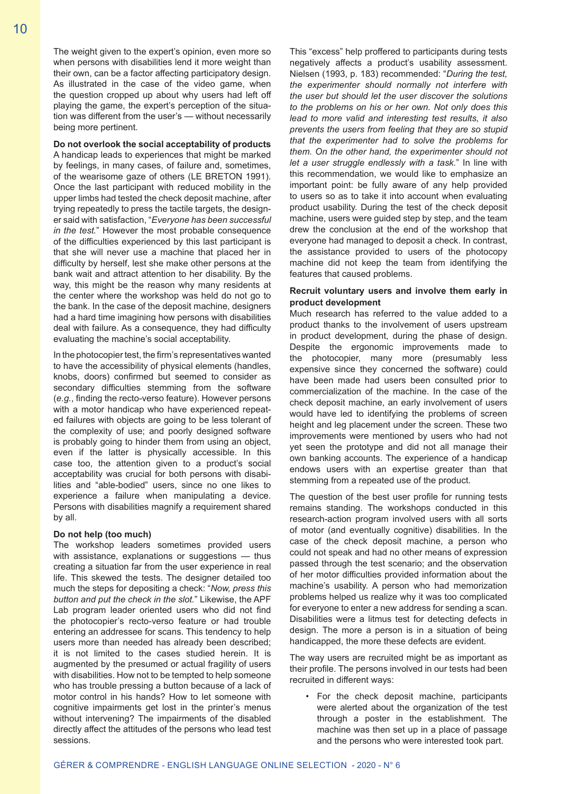The weight given to the expert's opinion, even more so when persons with disabilities lend it more weight than their own, can be a factor affecting participatory design. As illustrated in the case of the video game, when the question cropped up about why users had left off playing the game, the expert's perception of the situation was different from the user's — without necessarily being more pertinent.

#### **Do not overlook the social acceptability of products**

A handicap leads to experiences that might be marked by feelings, in many cases, of failure and, sometimes, of the wearisome gaze of others (LE BRETON 1991). Once the last participant with reduced mobility in the upper limbs had tested the check deposit machine, after trying repeatedly to press the tactile targets, the designer said with satisfaction, "*Everyone has been successful in the test.*" However the most probable consequence of the difficulties experienced by this last participant is that she will never use a machine that placed her in difficulty by herself, lest she make other persons at the bank wait and attract attention to her disability. By the way, this might be the reason why many residents at the center where the workshop was held do not go to the bank. In the case of the deposit machine, designers had a hard time imagining how persons with disabilities deal with failure. As a consequence, they had difficulty evaluating the machine's social acceptability.

In the photocopier test, the firm's representatives wanted to have the accessibility of physical elements (handles, knobs, doors) confirmed but seemed to consider as secondary difficulties stemming from the software (*e.g.*, finding the recto-verso feature). However persons with a motor handicap who have experienced repeated failures with objects are going to be less tolerant of the complexity of use; and poorly designed software is probably going to hinder them from using an object, even if the latter is physically accessible. In this case too, the attention given to a product's social acceptability was crucial for both persons with disabilities and "able-bodied" users, since no one likes to experience a failure when manipulating a device. Persons with disabilities magnify a requirement shared by all.

#### **Do not help (too much)**

The workshop leaders sometimes provided users with assistance, explanations or suggestions – thus creating a situation far from the user experience in real life. This skewed the tests. The designer detailed too much the steps for depositing a check: "*Now, press this button and put the check in the slot.*" Likewise, the APF Lab program leader oriented users who did not find the photocopier's recto-verso feature or had trouble entering an addressee for scans. This tendency to help users more than needed has already been described; it is not limited to the cases studied herein. It is augmented by the presumed or actual fragility of users with disabilities. How not to be tempted to help someone who has trouble pressing a button because of a lack of motor control in his hands? How to let someone with cognitive impairments get lost in the printer's menus without intervening? The impairments of the disabled directly affect the attitudes of the persons who lead test sessions.

This "excess" help proffered to participants during tests negatively affects a product's usability assessment. Nielsen (1993, p. 183) recommended: "*During the test, the experimenter should normally not interfere with the user but should let the user discover the solutions to the problems on his or her own. Not only does this lead to more valid and interesting test results, it also prevents the users from feeling that they are so stupid that the experimenter had to solve the problems for them. On the other hand, the experimenter should not let a user struggle endlessly with a task.*" In line with this recommendation, we would like to emphasize an important point: be fully aware of any help provided to users so as to take it into account when evaluating product usability. During the test of the check deposit machine, users were guided step by step, and the team drew the conclusion at the end of the workshop that everyone had managed to deposit a check. In contrast, the assistance provided to users of the photocopy machine did not keep the team from identifying the features that caused problems.

#### **Recruit voluntary users and involve them early in product development**

Much research has referred to the value added to a product thanks to the involvement of users upstream in product development, during the phase of design. Despite the ergonomic improvements made to the photocopier, many more (presumably less expensive since they concerned the software) could have been made had users been consulted prior to commercialization of the machine. In the case of the check deposit machine, an early involvement of users would have led to identifying the problems of screen height and leg placement under the screen. These two improvements were mentioned by users who had not yet seen the prototype and did not all manage their own banking accounts. The experience of a handicap endows users with an expertise greater than that stemming from a repeated use of the product.

The question of the best user profile for running tests remains standing. The workshops conducted in this research-action program involved users with all sorts of motor (and eventually cognitive) disabilities. In the case of the check deposit machine, a person who could not speak and had no other means of expression passed through the test scenario; and the observation of her motor difficulties provided information about the machine's usability. A person who had memorization problems helped us realize why it was too complicated for everyone to enter a new address for sending a scan. Disabilities were a litmus test for detecting defects in design. The more a person is in a situation of being handicapped, the more these defects are evident.

The way users are recruited might be as important as their profile. The persons involved in our tests had been recruited in different ways:

• For the check deposit machine, participants were alerted about the organization of the test through a poster in the establishment. The machine was then set up in a place of passage and the persons who were interested took part.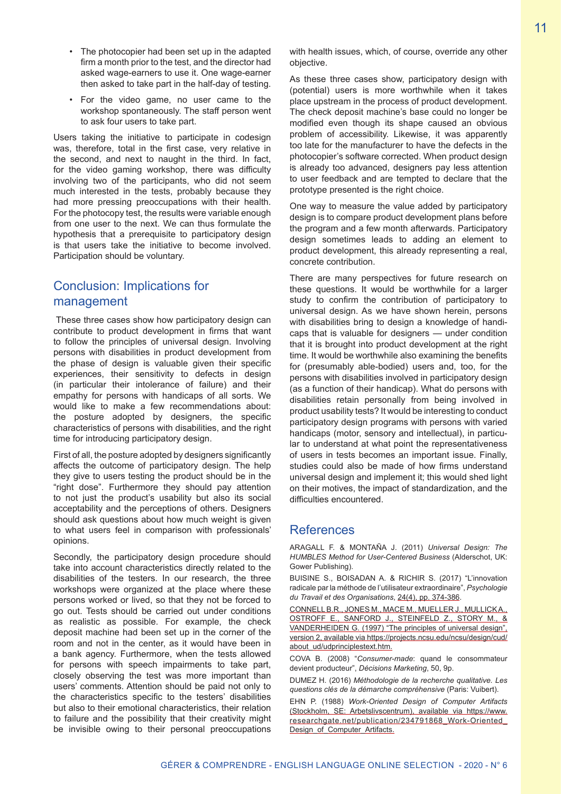- The photocopier had been set up in the adapted firm a month prior to the test, and the director had asked wage-earners to use it. One wage-earner then asked to take part in the half-day of testing.
- For the video game, no user came to the workshop spontaneously. The staff person went to ask four users to take part.

Users taking the initiative to participate in codesign was, therefore, total in the first case, very relative in the second, and next to naught in the third. In fact, for the video gaming workshop, there was difficulty involving two of the participants, who did not seem much interested in the tests, probably because they had more pressing preoccupations with their health. For the photocopy test, the results were variable enough from one user to the next. We can thus formulate the hypothesis that a prerequisite to participatory design is that users take the initiative to become involved. Participation should be voluntary.

# Conclusion: Implications for management

 These three cases show how participatory design can contribute to product development in firms that want to follow the principles of universal design. Involving persons with disabilities in product development from the phase of design is valuable given their specific experiences, their sensitivity to defects in design (in particular their intolerance of failure) and their empathy for persons with handicaps of all sorts. We would like to make a few recommendations about: the posture adopted by designers, the specific characteristics of persons with disabilities, and the right time for introducing participatory design.

First of all, the posture adopted by designers significantly affects the outcome of participatory design. The help they give to users testing the product should be in the "right dose". Furthermore they should pay attention to not just the product's usability but also its social acceptability and the perceptions of others. Designers should ask questions about how much weight is given to what users feel in comparison with professionals' opinions.

Secondly, the participatory design procedure should take into account characteristics directly related to the disabilities of the testers. In our research, the three workshops were organized at the place where these persons worked or lived, so that they not be forced to go out. Tests should be carried out under conditions as realistic as possible. For example, the check deposit machine had been set up in the corner of the room and not in the center, as it would have been in a bank agency. Furthermore, when the tests allowed for persons with speech impairments to take part, closely observing the test was more important than users' comments. Attention should be paid not only to the characteristics specific to the testers' disabilities but also to their emotional characteristics, their relation to failure and the possibility that their creativity might be invisible owing to their personal preoccupations

with health issues, which, of course, override any other objective.

As these three cases show, participatory design with (potential) users is more worthwhile when it takes place upstream in the process of product development. The check deposit machine's base could no longer be modified even though its shape caused an obvious problem of accessibility. Likewise, it was apparently too late for the manufacturer to have the defects in the photocopier's software corrected. When product design is already too advanced, designers pay less attention to user feedback and are tempted to declare that the prototype presented is the right choice.

One way to measure the value added by participatory design is to compare product development plans before the program and a few month afterwards. Participatory design sometimes leads to adding an element to product development, this already representing a real, concrete contribution.

There are many perspectives for future research on these questions. It would be worthwhile for a larger study to confirm the contribution of participatory to universal design. As we have shown herein, persons with disabilities bring to design a knowledge of handicaps that is valuable for designers — under condition that it is brought into product development at the right time. It would be worthwhile also examining the benefits for (presumably able-bodied) users and, too, for the persons with disabilities involved in participatory design (as a function of their handicap). What do persons with disabilities retain personally from being involved in product usability tests? It would be interesting to conduct participatory design programs with persons with varied handicaps (motor, sensory and intellectual), in particular to understand at what point the representativeness of users in tests becomes an important issue. Finally, studies could also be made of how firms understand universal design and implement it; this would shed light on their motives, the impact of standardization, and the difficulties encountered.

## **References**

ARAGALL F. & MONTAÑA J. (2011) *Universal Design: The HUMBLES Method for User-Centered Business* (Alderschot, UK: Gower Publishing).

BUISINE S., BOISADAN A. & RICHIR S. (2017) "L'innovation radicale par la méthode de l'utilisateur extraordinaire", *Psychologie du Travail et des Organisations*, 24(4), pp. 374-386.

CONNELLB.R., JONES M., MACE M., MUELLER J., MULLICKA., OSTROFF E., SANFORD J., STEINFELD Z., STORY M., & VANDERHEIDEN G. (1997) "The principles of universal design", version 2, available via https://projects.ncsu.edu/ncsu/design/cud/ about\_ud/udprinciplestext.htm.

COVA B. (2008) "*Consumer-made*: quand le consommateur devient producteur", *Décisions Marketing*, 50, 9p.

DUMEZ H. (2016) *Méthodologie de la recherche qualitative. Les questions clés de la démarche compréhensive* (Paris: Vuibert).

EHN P. (1988) *Work-Oriented Design of Computer Artifacts* (Stockholm, SE: Arbetslivscentrum), available via https://www. researchgate.net/publication/234791868\_Work-Oriented\_ Design\_of\_Computer\_Artifacts.